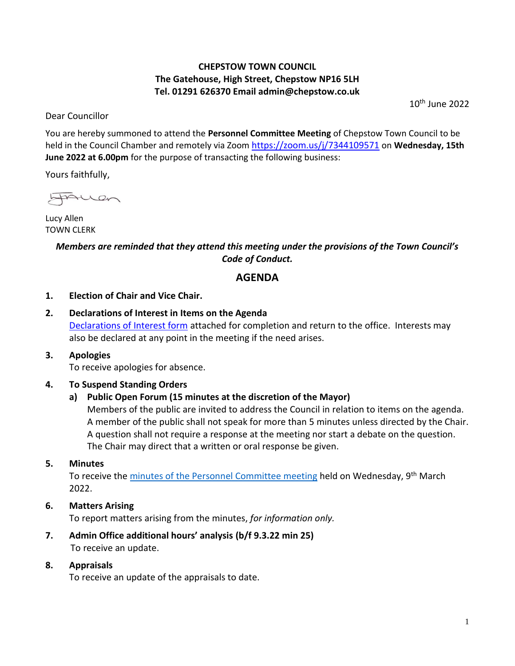### **CHEPSTOW TOWN COUNCIL The Gatehouse, High Street, Chepstow NP16 5LH Tel. 01291 626370 Email admin@chepstow.co.uk**

Dear Councillor

10th June 2022

You are hereby summoned to attend the **Personnel Committee Meeting** of Chepstow Town Council to be held in the Council Chamber and remotely via Zoom <https://zoom.us/j/7344109571> on **Wednesday, 15th June 2022 at 6.00pm** for the purpose of transacting the following business:

Yours faithfully,

HAUen

Lucy Allen TOWN CLERK

## *Members are reminded that they attend this meeting under the provisions of the Town Council's Code of Conduct.*

# **AGENDA**

#### **1. Election of Chair and Vice Chair.**

**2. Declarations of Interest in Items on the Agenda** [Declarations of Interest form](https://docs.google.com/document/d/1iUxiz9mDsJ7D2ThsCFBGDbXuX6Ckifyb/edit?usp=sharing&ouid=105404938322282414139&rtpof=true&sd=true) attached for completion and return to the office. Interests may also be declared at any point in the meeting if the need arises.

#### **3. Apologies**

To receive apologies for absence.

#### **4. To Suspend Standing Orders**

#### **a) Public Open Forum (15 minutes at the discretion of the Mayor)**

Members of the public are invited to address the Council in relation to items on the agenda. A member of the public shall not speak for more than 5 minutes unless directed by the Chair. A question shall not require a response at the meeting nor start a debate on the question. The Chair may direct that a written or oral response be given.

#### **5. Minutes**

To receive the [minutes of the Personnel Committee meeting](http://www.chepstow.co.uk/_UserFiles/Files/_Minutes/142007-Minutes_OM_9th_March_2022.pdf) held on Wednesday, 9<sup>th</sup> March 2022.

- **6. Matters Arising** To report matters arising from the minutes, *for information only.*
- **7. Admin Office additional hours' analysis (b/f 9.3.22 min 25)** To receive an update.
- **8. Appraisals**

To receive an update of the appraisals to date.